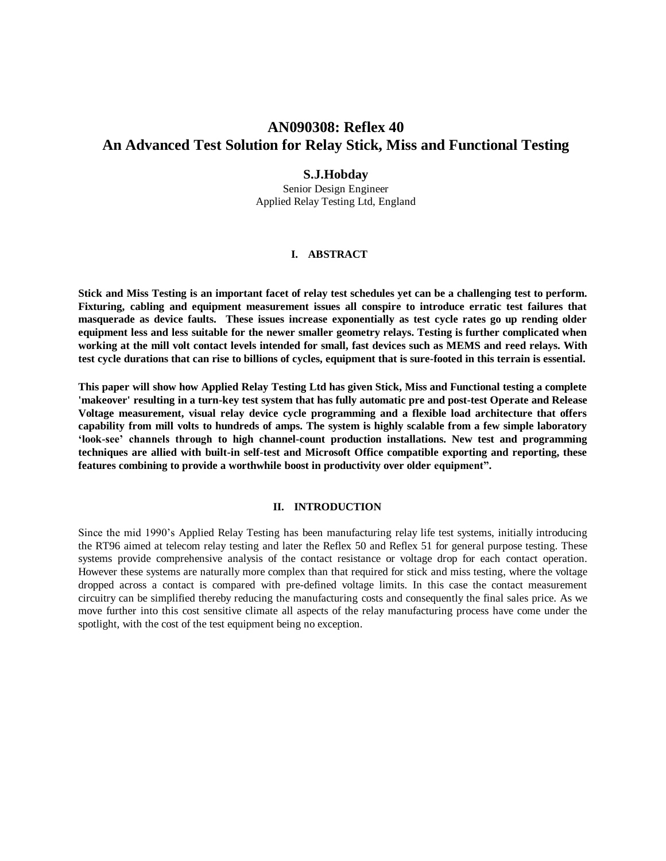# **AN090308: Reflex 40 An Advanced Test Solution for Relay Stick, Miss and Functional Testing**

### **S.J.Hobday**

Senior Design Engineer Applied Relay Testing Ltd, England

# **I. ABSTRACT**

**Stick and Miss Testing is an important facet of relay test schedules yet can be a challenging test to perform. Fixturing, cabling and equipment measurement issues all conspire to introduce erratic test failures that masquerade as device faults. These issues increase exponentially as test cycle rates go up rending older equipment less and less suitable for the newer smaller geometry relays. Testing is further complicated when working at the mill volt contact levels intended for small, fast devices such as MEMS and reed relays. With test cycle durations that can rise to billions of cycles, equipment that is sure-footed in this terrain is essential.**

**This paper will show how Applied Relay Testing Ltd has given Stick, Miss and Functional testing a complete 'makeover' resulting in a turn-key test system that has fully automatic pre and post-test Operate and Release Voltage measurement, visual relay device cycle programming and a flexible load architecture that offers capability from mill volts to hundreds of amps. The system is highly scalable from a few simple laboratory 'look-see' channels through to high channel-count production installations. New test and programming techniques are allied with built-in self-test and Microsoft Office compatible exporting and reporting, these features combining to provide a worthwhile boost in productivity over older equipment".**

#### **II. INTRODUCTION**

Since the mid 1990"s Applied Relay Testing has been manufacturing relay life test systems, initially introducing the RT96 aimed at telecom relay testing and later the Reflex 50 and Reflex 51 for general purpose testing. These systems provide comprehensive analysis of the contact resistance or voltage drop for each contact operation. However these systems are naturally more complex than that required for stick and miss testing, where the voltage dropped across a contact is compared with pre-defined voltage limits. In this case the contact measurement circuitry can be simplified thereby reducing the manufacturing costs and consequently the final sales price. As we move further into this cost sensitive climate all aspects of the relay manufacturing process have come under the spotlight, with the cost of the test equipment being no exception.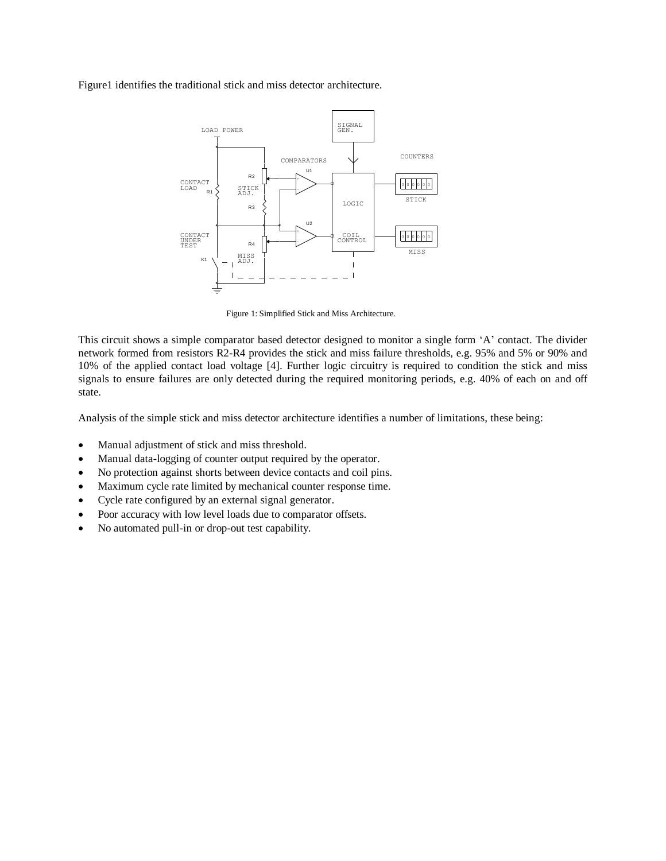Figure1 identifies the traditional stick and miss detector architecture.



Figure 1: Simplified Stick and Miss Architecture.

This circuit shows a simple comparator based detector designed to monitor a single form "A" contact. The divider network formed from resistors R2-R4 provides the stick and miss failure thresholds, e.g. 95% and 5% or 90% and 10% of the applied contact load voltage [4]. Further logic circuitry is required to condition the stick and miss signals to ensure failures are only detected during the required monitoring periods, e.g. 40% of each on and off state.

Analysis of the simple stick and miss detector architecture identifies a number of limitations, these being:

- Manual adjustment of stick and miss threshold.
- Manual data-logging of counter output required by the operator.
- No protection against shorts between device contacts and coil pins.
- Maximum cycle rate limited by mechanical counter response time.
- Cycle rate configured by an external signal generator.
- Poor accuracy with low level loads due to comparator offsets.
- No automated pull-in or drop-out test capability.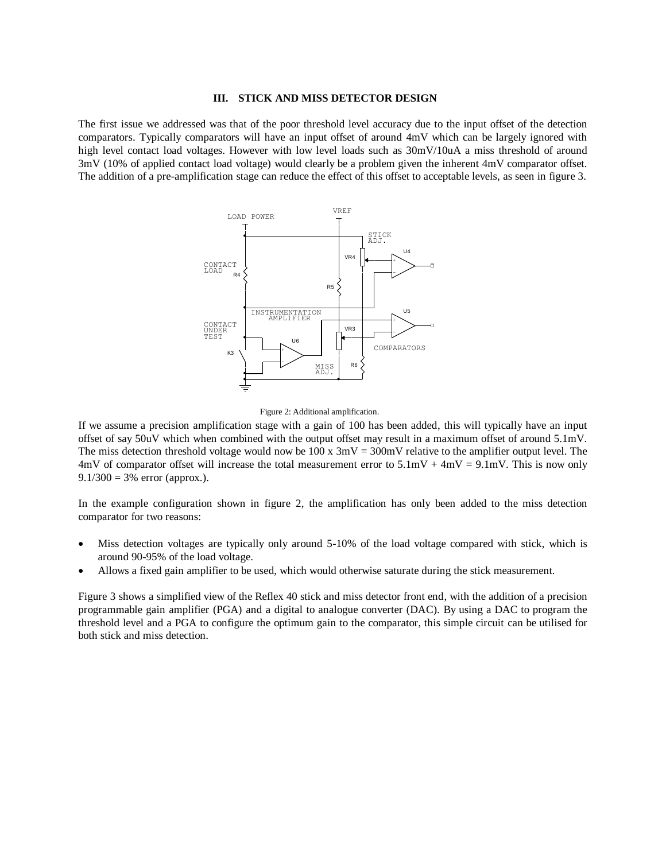#### **III. STICK AND MISS DETECTOR DESIGN**

The first issue we addressed was that of the poor threshold level accuracy due to the input offset of the detection comparators. Typically comparators will have an input offset of around 4mV which can be largely ignored with high level contact load voltages. However with low level loads such as  $30mV/10uA$  a miss threshold of around 3mV (10% of applied contact load voltage) would clearly be a problem given the inherent 4mV comparator offset. The addition of a pre-amplification stage can reduce the effect of this offset to acceptable levels, as seen in figure 3.



#### Figure 2: Additional amplification.

If we assume a precision amplification stage with a gain of 100 has been added, this will typically have an input offset of say 50uV which when combined with the output offset may result in a maximum offset of around 5.1mV. The miss detection threshold voltage would now be  $100 \times 3mV = 300mV$  relative to the amplifier output level. The 4mV of comparator offset will increase the total measurement error to  $5.1 \text{mV} + 4 \text{mV} = 9.1 \text{mV}$ . This is now only  $9.1/300 = 3%$  error (approx.).

In the example configuration shown in figure 2, the amplification has only been added to the miss detection comparator for two reasons:

- Miss detection voltages are typically only around 5-10% of the load voltage compared with stick, which is around 90-95% of the load voltage.
- Allows a fixed gain amplifier to be used, which would otherwise saturate during the stick measurement.

Figure 3 shows a simplified view of the Reflex 40 stick and miss detector front end, with the addition of a precision programmable gain amplifier (PGA) and a digital to analogue converter (DAC). By using a DAC to program the threshold level and a PGA to configure the optimum gain to the comparator, this simple circuit can be utilised for both stick and miss detection.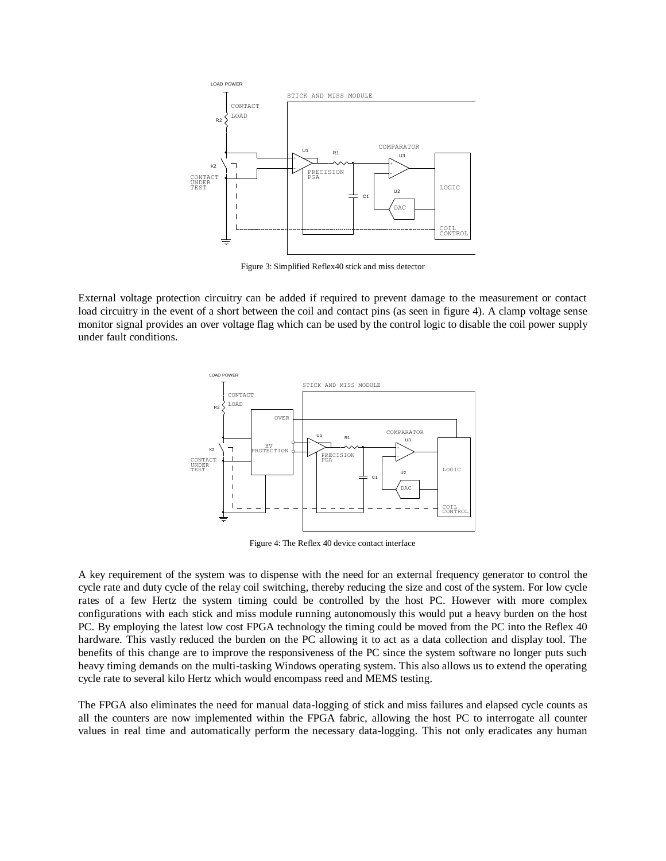

Figure 3: Simplified Reflex40 stick and miss detector

External voltage protection circuitry can be added if required to prevent damage to the measurement or contact load circuitry in the event of a short between the coil and contact pins (as seen in figure 4). A clamp voltage sense monitor signal provides an over voltage flag which can be used by the control logic to disable the coil power supply under fault conditions.



Figure 4: The Reflex 40 device contact interface

A key requirement of the system was to dispense with the need for an external frequency generator to control the cycle rate and duty cycle of the relay coil switching, thereby reducing the size and cost of the system. For low cycle rates of a few Hertz the system timing could be controlled by the host PC. However with more complex configurations with each stick and miss module running autonomously this would put a heavy burden on the host PC. By employing the latest low cost FPGA technology the timing could be moved from the PC into the Reflex 40 hardware. This vastly reduced the burden on the PC allowing it to act as a data collection and display tool. The benefits of this change are to improve the responsiveness of the PC since the system software no longer puts such heavy timing demands on the multi-tasking Windows operating system. This also allows us to extend the operating cycle rate to several kilo Hertz which would encompass reed and MEMS testing.

The FPGA also eliminates the need for manual data-logging of stick and miss failures and elapsed cycle counts as all the counters are now implemented within the FPGA fabric, allowing the host PC to interrogate all counter values in real time and automatically perform the necessary data-logging. This not only eradicates any human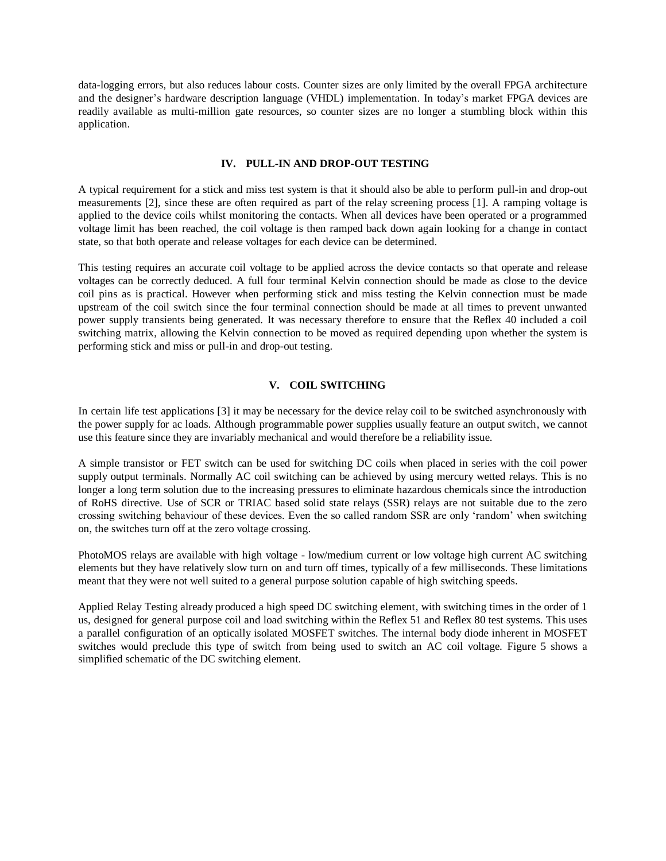data-logging errors, but also reduces labour costs. Counter sizes are only limited by the overall FPGA architecture and the designer"s hardware description language (VHDL) implementation. In today"s market FPGA devices are readily available as multi-million gate resources, so counter sizes are no longer a stumbling block within this application.

#### **IV. PULL-IN AND DROP-OUT TESTING**

A typical requirement for a stick and miss test system is that it should also be able to perform pull-in and drop-out measurements [2], since these are often required as part of the relay screening process [1]. A ramping voltage is applied to the device coils whilst monitoring the contacts. When all devices have been operated or a programmed voltage limit has been reached, the coil voltage is then ramped back down again looking for a change in contact state, so that both operate and release voltages for each device can be determined.

This testing requires an accurate coil voltage to be applied across the device contacts so that operate and release voltages can be correctly deduced. A full four terminal Kelvin connection should be made as close to the device coil pins as is practical. However when performing stick and miss testing the Kelvin connection must be made upstream of the coil switch since the four terminal connection should be made at all times to prevent unwanted power supply transients being generated. It was necessary therefore to ensure that the Reflex 40 included a coil switching matrix, allowing the Kelvin connection to be moved as required depending upon whether the system is performing stick and miss or pull-in and drop-out testing.

#### **V. COIL SWITCHING**

In certain life test applications [3] it may be necessary for the device relay coil to be switched asynchronously with the power supply for ac loads. Although programmable power supplies usually feature an output switch, we cannot use this feature since they are invariably mechanical and would therefore be a reliability issue.

A simple transistor or FET switch can be used for switching DC coils when placed in series with the coil power supply output terminals. Normally AC coil switching can be achieved by using mercury wetted relays. This is no longer a long term solution due to the increasing pressures to eliminate hazardous chemicals since the introduction of RoHS directive. Use of SCR or TRIAC based solid state relays (SSR) relays are not suitable due to the zero crossing switching behaviour of these devices. Even the so called random SSR are only "random" when switching on, the switches turn off at the zero voltage crossing.

PhotoMOS relays are available with high voltage - low/medium current or low voltage high current AC switching elements but they have relatively slow turn on and turn off times, typically of a few milliseconds. These limitations meant that they were not well suited to a general purpose solution capable of high switching speeds.

Applied Relay Testing already produced a high speed DC switching element, with switching times in the order of 1 us, designed for general purpose coil and load switching within the Reflex 51 and Reflex 80 test systems. This uses a parallel configuration of an optically isolated MOSFET switches. The internal body diode inherent in MOSFET switches would preclude this type of switch from being used to switch an AC coil voltage. Figure 5 shows a simplified schematic of the DC switching element.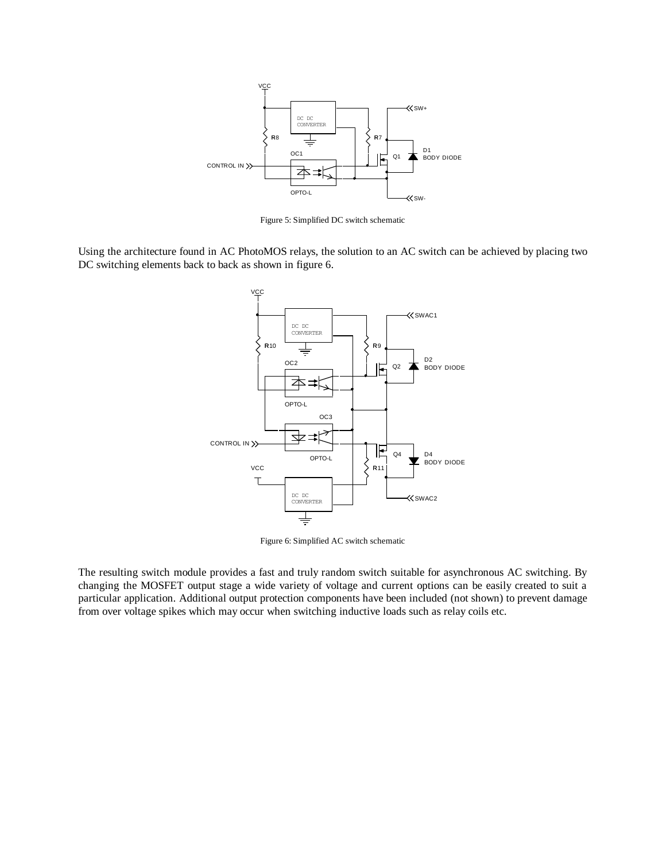

Figure 5: Simplified DC switch schematic

Using the architecture found in AC PhotoMOS relays, the solution to an AC switch can be achieved by placing two DC switching elements back to back as shown in figure 6.



Figure 6: Simplified AC switch schematic

The resulting switch module provides a fast and truly random switch suitable for asynchronous AC switching. By changing the MOSFET output stage a wide variety of voltage and current options can be easily created to suit a particular application. Additional output protection components have been included (not shown) to prevent damage from over voltage spikes which may occur when switching inductive loads such as relay coils etc.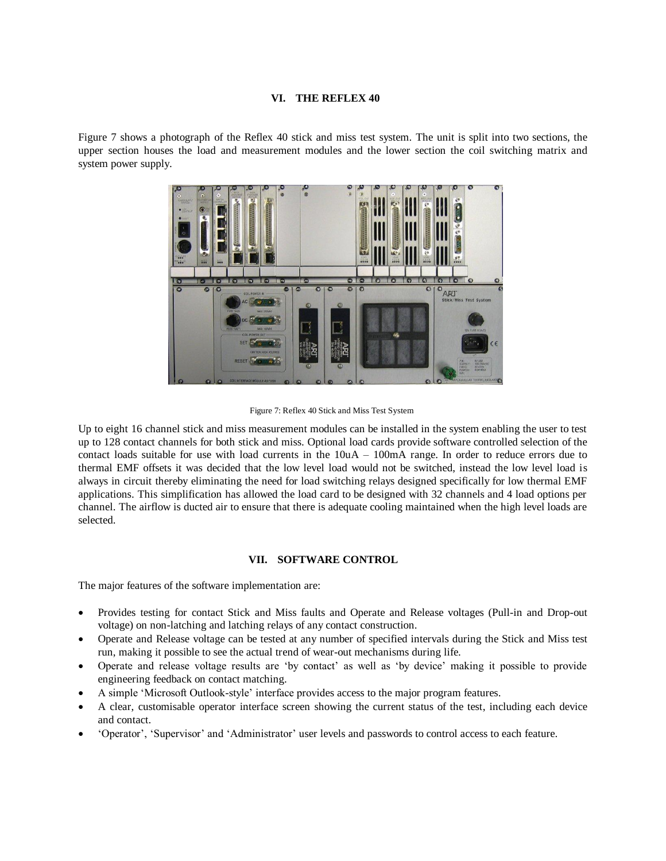#### **VI. THE REFLEX 40**

Figure 7 shows a photograph of the Reflex 40 stick and miss test system. The unit is split into two sections, the upper section houses the load and measurement modules and the lower section the coil switching matrix and system power supply.



Figure 7: Reflex 40 Stick and Miss Test System

Up to eight 16 channel stick and miss measurement modules can be installed in the system enabling the user to test up to 128 contact channels for both stick and miss. Optional load cards provide software controlled selection of the contact loads suitable for use with load currents in the 10uA – 100mA range. In order to reduce errors due to thermal EMF offsets it was decided that the low level load would not be switched, instead the low level load is always in circuit thereby eliminating the need for load switching relays designed specifically for low thermal EMF applications. This simplification has allowed the load card to be designed with 32 channels and 4 load options per channel. The airflow is ducted air to ensure that there is adequate cooling maintained when the high level loads are selected.

#### **VII. SOFTWARE CONTROL**

The major features of the software implementation are:

- Provides testing for contact Stick and Miss faults and Operate and Release voltages (Pull-in and Drop-out voltage) on non-latching and latching relays of any contact construction.
- Operate and Release voltage can be tested at any number of specified intervals during the Stick and Miss test run, making it possible to see the actual trend of wear-out mechanisms during life.
- Operate and release voltage results are "by contact" as well as "by device" making it possible to provide engineering feedback on contact matching.
- A simple "Microsoft Outlook-style" interface provides access to the major program features.
- A clear, customisable operator interface screen showing the current status of the test, including each device and contact.
- "Operator", "Supervisor" and "Administrator" user levels and passwords to control access to each feature.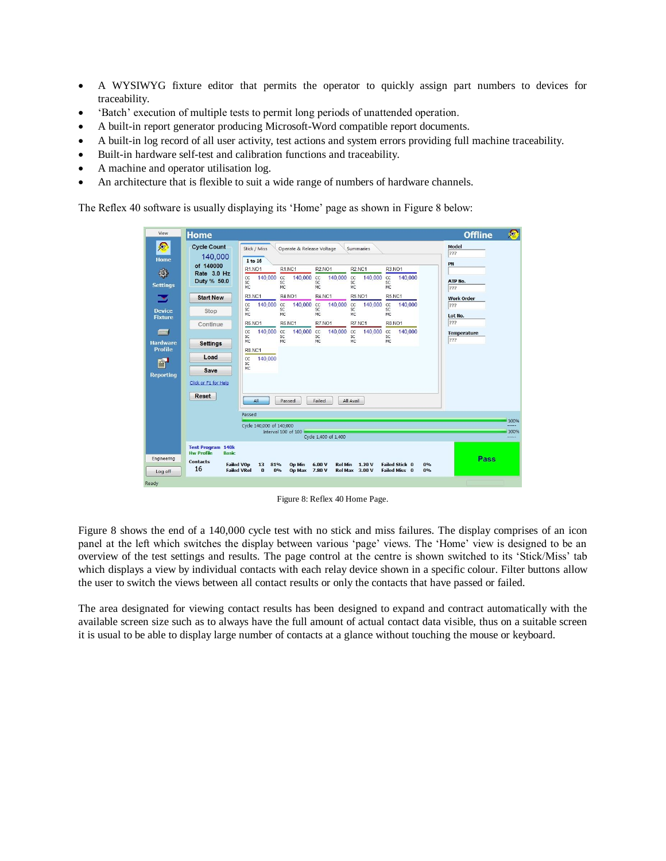- A WYSIWYG fixture editor that permits the operator to quickly assign part numbers to devices for traceability.
- 'Batch' execution of multiple tests to permit long periods of unattended operation.
- A built-in report generator producing Microsoft-Word compatible report documents.
- A built-in log record of all user activity, test actions and system errors providing full machine traceability.
- Built-in hardware self-test and calibration functions and traceability.
- A machine and operator utilisation log.
- An architecture that is flexible to suit a wide range of numbers of hardware channels.

The Reflex 40 software is usually displaying its "Home" page as shown in Figure 8 below:

| View                                                                                                                                                                                                                                                                                                       | <b>Home</b>                                                                                                                                                                                                                                                                                                                    | 四<br><b>Offline</b>       |
|------------------------------------------------------------------------------------------------------------------------------------------------------------------------------------------------------------------------------------------------------------------------------------------------------------|--------------------------------------------------------------------------------------------------------------------------------------------------------------------------------------------------------------------------------------------------------------------------------------------------------------------------------|---------------------------|
| ଛ<br>Home                                                                                                                                                                                                                                                                                                  | <b>Cycle Count</b><br>Stick / Miss<br>Operate & Release Voltage<br>Summaries<br>140,000<br>1 to 16                                                                                                                                                                                                                             | Model<br>???              |
| $\circledcirc$<br><b>Settings</b>                                                                                                                                                                                                                                                                          | of 140000<br><b>R1.NO1</b><br><b>R2.NC1</b><br><b>R1.NC1</b><br><b>R2.NO1</b><br>R3.NO1<br>Rate 3.0 Hz<br>140,000<br>140,000<br>140,000<br>140,000<br>140,000<br>cc<br>cc<br>cc<br>cc<br>CC<br>Duty % 50.0<br>SC<br>SC<br>SC<br>SC<br>SC<br><b>MC</b><br>MC<br>MC<br>MC<br>MC                                                  | PN<br>ATP No.<br>222      |
| ×                                                                                                                                                                                                                                                                                                          | <b>R3.NC1</b><br><b>R4.NO1</b><br>R4.NC1<br>R5.NO1<br><b>R5.NC1</b><br><b>Start New</b>                                                                                                                                                                                                                                        | <b>Work Order</b>         |
| <b>Device</b>                                                                                                                                                                                                                                                                                              | 140,000<br>140,000<br>140,000<br>cc<br>cc<br>cc<br>140,000<br>cc<br>140,000<br>CC<br>SC<br><b>SC</b><br>SC<br>SC<br><sub>SC</sub><br>Stop<br>MC<br>MC<br>MC.<br>MC<br>MC                                                                                                                                                       | 222<br>Lot No.            |
| <b>Fixture</b>                                                                                                                                                                                                                                                                                             | <b>R8.NO1</b><br><b>R6.NO1</b><br><b>R6.NC1</b><br><b>R7.NO1</b><br>R7.NC1<br>Continue                                                                                                                                                                                                                                         | 222                       |
| posterior de la propie de la propie de la propie de la propie de la propie de la propie de la propie de la propie de la propie de la propie de la propie de la propie de la propie de la propie de la propie de la propie de l<br><b>Hardware</b><br><b>Profile</b><br>$^{\mathbb{Z}}$<br><b>Reporting</b> | 140.000<br>140,000<br>140,000<br>140,000<br>140,000<br>cc<br>cc<br>cc<br>cc<br>CC<br><b>SC</b><br>SC<br>SC<br>SC.<br>SC.<br>MC<br>MC<br><b>MC</b><br>MC<br>MC<br><b>Settings</b><br><b>R8.NC1</b><br>Load<br>140,000<br>CC<br>SC<br><b>MC</b><br>Save<br>Click or F1 for Help<br>Reset<br>All<br>Failed<br>All Avail<br>Passed | <b>Temperature</b><br>222 |
|                                                                                                                                                                                                                                                                                                            | Passed                                                                                                                                                                                                                                                                                                                         | 100%                      |
|                                                                                                                                                                                                                                                                                                            | Cycle 140,000 of 140,000<br>Interval 100 of 100<br>Cycle 1,400 of 1,400                                                                                                                                                                                                                                                        | -----<br>100%<br>100000   |
|                                                                                                                                                                                                                                                                                                            | <b>Test Program 140k</b><br><b>Hw Profile</b><br><b>Basic</b>                                                                                                                                                                                                                                                                  |                           |
| Engineering<br>Log off                                                                                                                                                                                                                                                                                     | <b>Contacts</b><br><b>Failed Stick 0</b><br><b>Failed VOp</b><br>81%<br>Op Min<br>6.00V<br><b>Rel Min</b><br>1.20V<br>0%<br>13<br>16<br><b>Failed VRel</b><br>$\bf{0}$<br>0%<br><b>Failed Miss 0</b><br>0%<br>Op Max 7.80 V<br><b>Rel Max 3.00 V</b>                                                                           | Pass                      |
| Ready                                                                                                                                                                                                                                                                                                      |                                                                                                                                                                                                                                                                                                                                |                           |

Figure 8: Reflex 40 Home Page.

Figure 8 shows the end of a 140,000 cycle test with no stick and miss failures. The display comprises of an icon panel at the left which switches the display between various "page" views. The "Home" view is designed to be an overview of the test settings and results. The page control at the centre is shown switched to its "Stick/Miss" tab which displays a view by individual contacts with each relay device shown in a specific colour. Filter buttons allow the user to switch the views between all contact results or only the contacts that have passed or failed.

The area designated for viewing contact results has been designed to expand and contract automatically with the available screen size such as to always have the full amount of actual contact data visible, thus on a suitable screen it is usual to be able to display large number of contacts at a glance without touching the mouse or keyboard.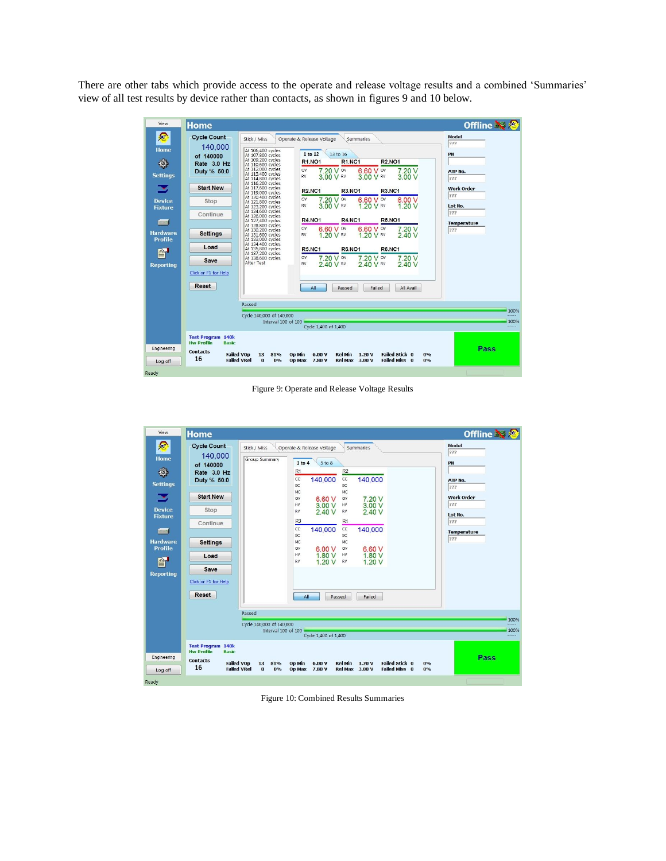There are other tabs which provide access to the operate and release voltage results and a combined "Summaries" view of all test results by device rather than contacts, as shown in figures 9 and 10 below.

| View                              | <b>Home</b>                                                                                                                                                                                                                                                                                    | <b>Offline 國會</b>        |
|-----------------------------------|------------------------------------------------------------------------------------------------------------------------------------------------------------------------------------------------------------------------------------------------------------------------------------------------|--------------------------|
| ☎<br><b>Home</b>                  | <b>Cycle Count</b><br>Stick / Miss<br>Operate & Release Voltage<br>Summaries<br>140,000<br>At 106,400 cycles<br>1 to 12<br>13 to 16<br>At 107.800 cycles<br>of 140000                                                                                                                          | Model<br>222<br>PN       |
| ۱<br><b>Settings</b>              | At 109,200 cycles<br><b>R1.NO1</b><br><b>R1.NC1</b><br><b>R2.NO1</b><br>Rate 3.0 Hz<br>At 110,600 cycles<br>At 112,000 cycles<br>7.20V<br>7.20 V ov<br>6.60 V ov<br>OV<br>Duty % 50.0<br>At 113,400 cycles<br>RV<br>3.00 V RV<br>3 00 V RV<br>3.00 V<br>At 114,800 cycles<br>At 116,200 cycles | ATP No.<br>222           |
| - 1                               | <b>Start New</b><br>At 117,600 cycles<br><b>R2.NC1</b><br><b>R3.NO1</b><br><b>R3.NC1</b><br>At 119,000 cycles<br>At 120,400 cycles                                                                                                                                                             | <b>Work Order</b><br>222 |
| <b>Device</b><br><b>Fixture</b>   | 7.20 V ov<br>6.60 V ov<br>6.00 V<br><b>OV</b><br>Stop<br>At 121,800 cycles<br>3.00 V RV<br>1.20 V RV<br>1.20V<br>RV<br>At 123,200 cycles<br>At 124,600 cycles                                                                                                                                  | Lot No.<br>222           |
| $\blacksquare$                    | Continue<br>At 126,000 cycles<br><b>R4.NO1</b><br><b>R4.NC1</b><br><b>R5.NO1</b><br>At 127,400 cycles<br>At 128,800 cycles                                                                                                                                                                     | <b>Temperature</b>       |
| <b>Hardware</b><br><b>Profile</b> | 7.20V<br>6.60 V ov<br>6.60 V ov<br>OV<br>At 130,200 cycles<br><b>Settings</b><br>1.20 V RV<br>1 20 V RV<br>240V<br>At 131,600 cycles<br><b>RV</b><br>At 133,000 cycles                                                                                                                         | 222                      |
| $^{\prime\prime}$                 | At 134,400 cycles<br>Load<br><b>R6.NO1</b><br><b>R6.NC1</b><br>At 135,800 cycles<br><b>R5.NC1</b><br>At 137,200 cycles<br>7.20V<br>7.20 V ov<br>At 138,600 cycles<br>OV                                                                                                                        |                          |
| <b>Reporting</b>                  | 7.20 V ov<br>Save<br>After Test<br>240 V<br>RV<br>2 40 V RV<br>2 40 V RV<br>Click or F1 for Help                                                                                                                                                                                               |                          |
|                                   | Reset<br>All<br>Failed<br>All Avail<br>Passed                                                                                                                                                                                                                                                  |                          |
|                                   | Passed                                                                                                                                                                                                                                                                                         |                          |
|                                   | Cycle 140,000 of 140,000<br>Interval 100 of 100<br>Cycle 1.400 of 1.400                                                                                                                                                                                                                        | 100%<br>100%<br>-----    |
|                                   | <b>Test Program 140k</b><br><b>Hw Profile</b><br><b>Basic</b>                                                                                                                                                                                                                                  |                          |
| Engineering<br>Log off            | <b>Contacts</b><br><b>Failed VOp</b><br>81%<br>6.00V<br>Rel Min 1.20 V<br><b>Failed Stick 0</b><br>13<br><b>Op Min</b><br>0%<br>16<br><b>Failed VRel</b><br>$\mathbf{a}$<br>0%<br>Op Max 7.80 V<br><b>Rel Max 3.00 V</b><br><b>Failed Miss 0</b><br>0%                                         | Pass                     |
| Ready                             |                                                                                                                                                                                                                                                                                                |                          |

Figure 9: Operate and Release Voltage Results



Figure 10: Combined Results Summaries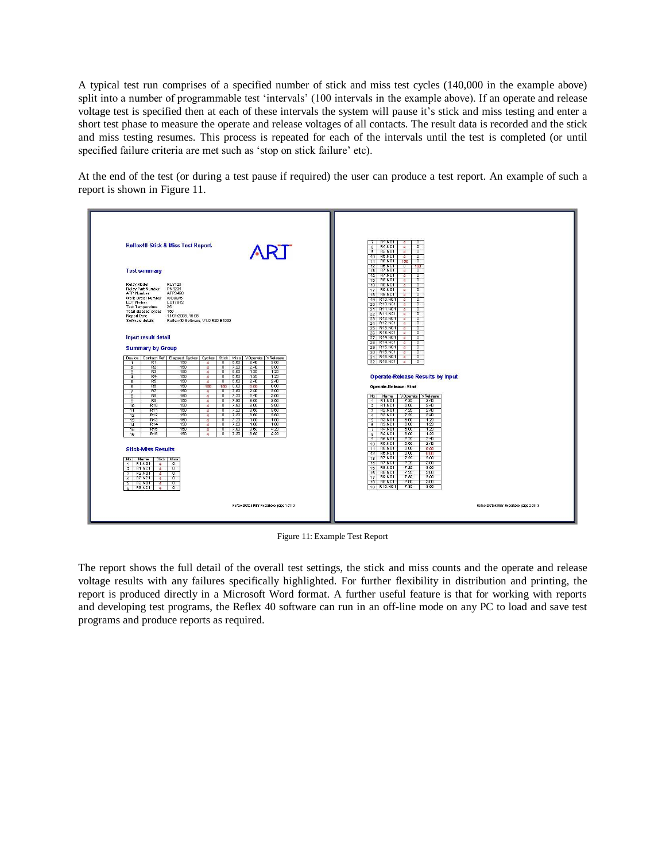A typical test run comprises of a specified number of stick and miss test cycles (140,000 in the example above) split into a number of programmable test 'intervals' (100 intervals in the example above). If an operate and release voltage test is specified then at each of these intervals the system will pause it"s stick and miss testing and enter a short test phase to measure the operate and release voltages of all contacts. The result data is recorded and the stick and miss testing resumes. This process is repeated for each of the intervals until the test is completed (or until specified failure criteria are met such as 'stop on stick failure' etc).

At the end of the test (or during a test pause if required) the user can produce a test report. An example of such a report is shown in Figure 11.



Figure 11: Example Test Report

The report shows the full detail of the overall test settings, the stick and miss counts and the operate and release voltage results with any failures specifically highlighted. For further flexibility in distribution and printing, the report is produced directly in a Microsoft Word format. A further useful feature is that for working with reports and developing test programs, the Reflex 40 software can run in an off-line mode on any PC to load and save test programs and produce reports as required.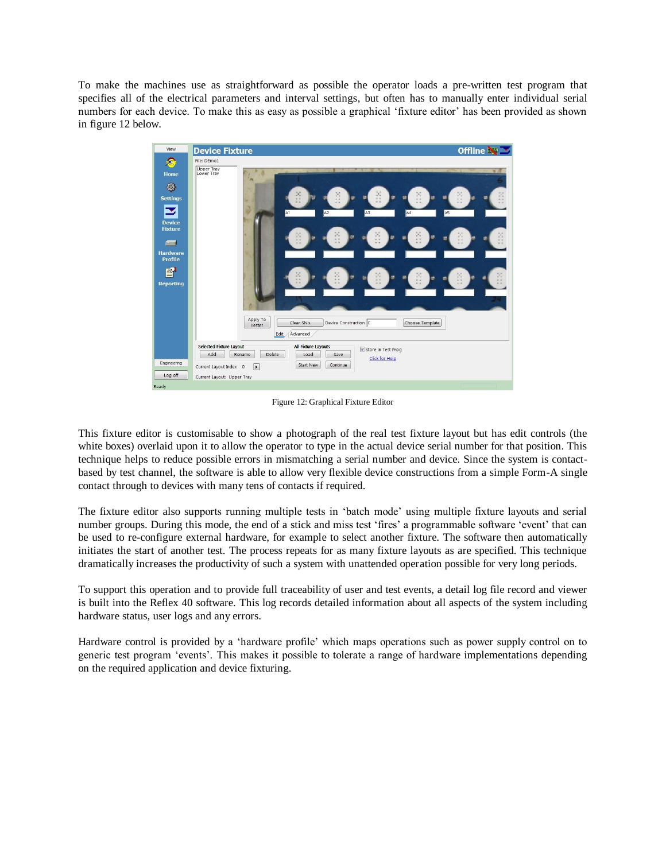To make the machines use as straightforward as possible the operator loads a pre-written test program that specifies all of the electrical parameters and interval settings, but often has to manually enter individual serial numbers for each device. To make this as easy as possible a graphical 'fixture editor' has been provided as shown in figure 12 below.



Figure 12: Graphical Fixture Editor

This fixture editor is customisable to show a photograph of the real test fixture layout but has edit controls (the white boxes) overlaid upon it to allow the operator to type in the actual device serial number for that position. This technique helps to reduce possible errors in mismatching a serial number and device. Since the system is contactbased by test channel, the software is able to allow very flexible device constructions from a simple Form-A single contact through to devices with many tens of contacts if required.

The fixture editor also supports running multiple tests in "batch mode" using multiple fixture layouts and serial number groups. During this mode, the end of a stick and miss test 'fires' a programmable software 'event' that can be used to re-configure external hardware, for example to select another fixture. The software then automatically initiates the start of another test. The process repeats for as many fixture layouts as are specified. This technique dramatically increases the productivity of such a system with unattended operation possible for very long periods.

To support this operation and to provide full traceability of user and test events, a detail log file record and viewer is built into the Reflex 40 software. This log records detailed information about all aspects of the system including hardware status, user logs and any errors.

Hardware control is provided by a "hardware profile" which maps operations such as power supply control on to generic test program "events". This makes it possible to tolerate a range of hardware implementations depending on the required application and device fixturing.